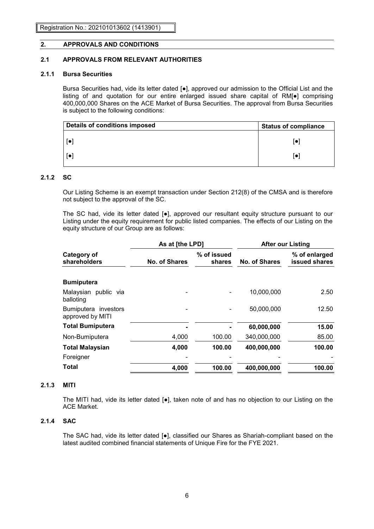# **2. APPROVALS AND CONDITIONS**

# **2.1 APPROVALS FROM RELEVANT AUTHORITIES**

### **2.1.1 Bursa Securities**

Bursa Securities had, vide its letter dated [ $\bullet$ ], approved our admission to the Official List and the listing of and quotation for our entire enlarged issued share capital of RM[●] comprising 400,000,000 Shares on the ACE Market of Bursa Securities. The approval from Bursa Securities is subject to the following conditions:

| Details of conditions imposed | <b>Status of compliance</b> |  |  |
|-------------------------------|-----------------------------|--|--|
| $\lceil \bullet \rceil$       | I۰                          |  |  |
| ∫●                            | $  \bullet  $               |  |  |

# **2.1.2 SC**

 Our Listing Scheme is an exempt transaction under Section 212(8) of the CMSA and is therefore not subject to the approval of the SC.

The SC had, vide its letter dated [●], approved our resultant equity structure pursuant to our Listing under the equity requirement for public listed companies. The effects of our Listing on the equity structure of our Group are as follows:

|                                          | As at [the LPD]      |                       | <b>After our Listing</b> |                                |  |
|------------------------------------------|----------------------|-----------------------|--------------------------|--------------------------------|--|
| Category of<br>shareholders              | <b>No. of Shares</b> | % of issued<br>shares | No. of Shares            | % of enlarged<br>issued shares |  |
| <b>Bumiputera</b>                        |                      |                       |                          |                                |  |
| Malaysian public via<br>balloting        |                      |                       | 10,000,000               | 2.50                           |  |
| Bumiputera investors<br>approved by MITI |                      |                       | 50,000,000               | 12.50                          |  |
| <b>Total Bumiputera</b>                  |                      |                       | 60,000,000               | 15.00                          |  |
| Non-Bumiputera                           | 4,000                | 100.00                | 340,000,000              | 85.00                          |  |
| <b>Total Malaysian</b>                   | 4,000                | 100.00                | 400,000,000              | 100.00                         |  |
| Foreigner                                |                      |                       |                          |                                |  |
| Total                                    | 4,000                | 100.00                | 400,000,000              | 100.00                         |  |

## **2.1.3 MITI**

The MITI had, vide its letter dated [●], taken note of and has no objection to our Listing on the ACE Market.

#### **2.1.4 SAC**

The SAC had, vide its letter dated [●], classified our Shares as Shariah-compliant based on the latest audited combined financial statements of Unique Fire for the FYE 2021.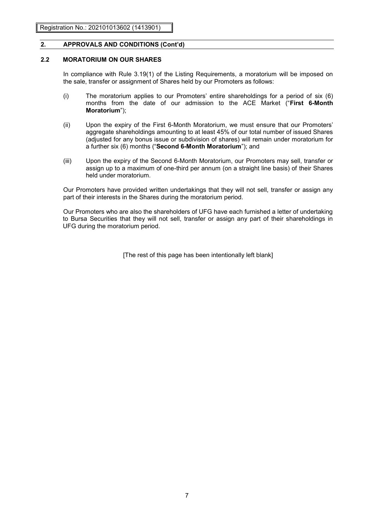Registration No.: 202101013602 (1413901)

# **2. APPROVALS AND CONDITIONS (Cont'd)**

# **2.2 MORATORIUM ON OUR SHARES**

In compliance with Rule 3.19(1) of the Listing Requirements, a moratorium will be imposed on the sale, transfer or assignment of Shares held by our Promoters as follows:

- (i) The moratorium applies to our Promoters' entire shareholdings for a period of six (6) months from the date of our admission to the ACE Market ("**First 6-Month Moratorium**");
- (ii) Upon the expiry of the First 6-Month Moratorium, we must ensure that our Promoters' aggregate shareholdings amounting to at least 45% of our total number of issued Shares (adjusted for any bonus issue or subdivision of shares) will remain under moratorium for a further six (6) months ("**Second 6-Month Moratorium**"); and
- (iii) Upon the expiry of the Second 6-Month Moratorium, our Promoters may sell, transfer or assign up to a maximum of one-third per annum (on a straight line basis) of their Shares held under moratorium.

Our Promoters have provided written undertakings that they will not sell, transfer or assign any part of their interests in the Shares during the moratorium period.

Our Promoters who are also the shareholders of UFG have each furnished a letter of undertaking to Bursa Securities that they will not sell, transfer or assign any part of their shareholdings in UFG during the moratorium period.

[The rest of this page has been intentionally left blank]